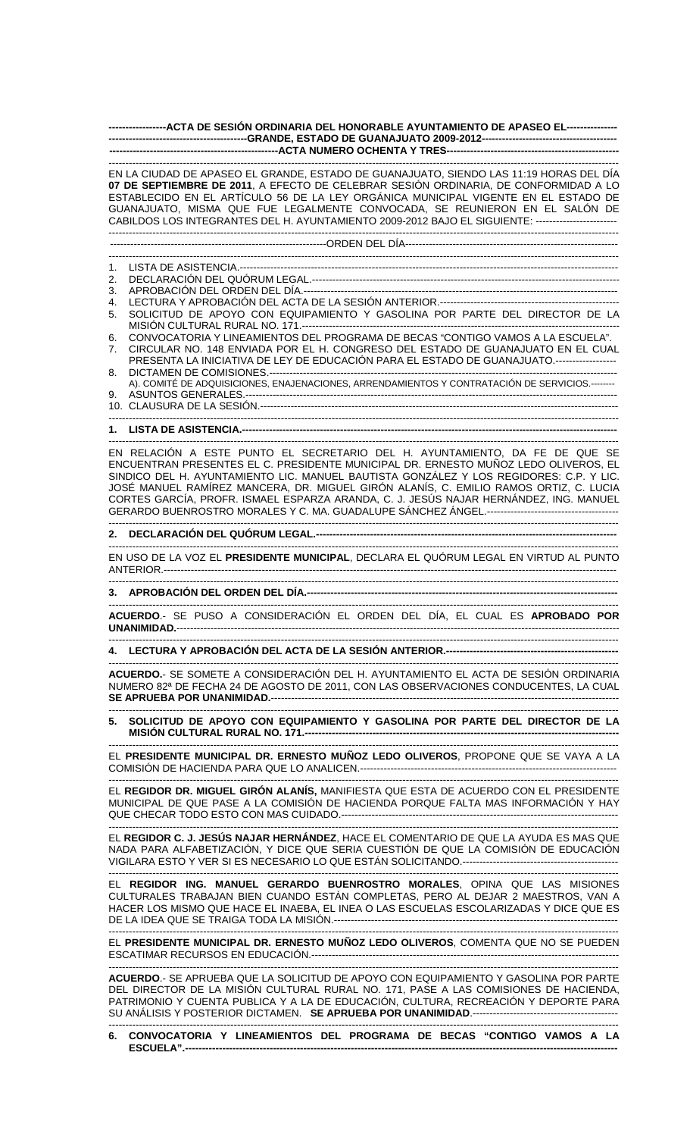**-----------------ACTA DE SESIÓN ORDINARIA DEL HONORABLE AYUNTAMIENTO DE APASEO EL--------------- -----------------------------------------GRANDE, ESTADO DE GUANAJUATO 2009-2012----------------------------------------**  ----ACTA NUMERO OCHENTA Y TRES----

------------------------------------------------------------------------------------------------------------------------------------------------------- EN LA CIUDAD DE APASEO EL GRANDE, ESTADO DE GUANAJUATO, SIENDO LAS 11:19 HORAS DEL DÍA **07 DE SEPTIEMBRE DE 2011**, A EFECTO DE CELEBRAR SESIÓN ORDINARIA, DE CONFORMIDAD A LO ESTABLECIDO EN EL ARTÍCULO 56 DE LA LEY ORGÁNICA MUNICIPAL VIGENTE EN EL ESTADO DE GUANAJUATO, MISMA QUE FUE LEGALMENTE CONVOCADA, SE REUNIERON EN EL SALÓN DE CABILDOS LOS INTEGRANTES DEL H. AYUNTAMIENTO 2009-2012 BAJO EL SIGUIENTE: ------------------------ -------------------------------------------------------------------------------------------------------------------------------------------------------

----------------------------------------------------------------ORDEN DEL DÍA---------------------------------------------------------------

------------------------------------------------------------------------------------------------------------------------------------------------------- 1. LISTA DE ASISTENCIA.----------------------------------------------------------------------------------------------------------------

2. DECLARACIÓN DEL QUÓRUM LEGAL.-------------------------------------------------------------------------------------------

3. APROBACIÓN DEL ORDEN DEL DÍA.--

4. LECTURA Y APROBACIÓN DEL ACTA DE LA SESIÓN ANTERIOR.-----------------------------------------------------

5. SOLICITUD DE APOYO CON EQUIPAMIENTO Y GASOLINA POR PARTE DEL DIRECTOR DE LA MISIÓN CULTURAL RURAL NO. 171.-

6. CONVOCATORIA Y LINEAMIENTOS DEL PROGRAMA DE BECAS "CONTIGO VAMOS A LA ESCUELA".

7. CIRCULAR NO. 148 ENVIADA POR EL H. CONGRESO DEL ESTADO DE GUANAJUATO EN EL CUAL PRESENTA LA INICIATIVA DE LEY DE EDUCACIÓN PARA EL ESTADO DE GUANAJUATO.------------------ 8. DICTAMEN DE COMISIONES.---

A). COMITÉ DE ADQUISICIONES, ENAJENACIONES, ARRENDAMIENTOS Y CONTRATACIÓN DE SERVICIOS.-------- 9. ASUNTOS GENERALES.-

10. CLAUSURA DE LA SESIÓN.---------------------------------------------------------------------------------------------------------- -------------------------------------------------------------------------------------------------------------------------------------------------------

1. LISTA DE ASISTENCIA.-----

------------------------------------------------------------------------------------------------------------------------------------------------------- EN RELACIÓN A ESTE PUNTO EL SECRETARIO DEL H. AYUNTAMIENTO, DA FE DE QUE SE ENCUENTRAN PRESENTES EL C. PRESIDENTE MUNICIPAL DR. ERNESTO MUÑOZ LEDO OLIVEROS, EL SINDICO DEL H. AYUNTAMIENTO LIC. MANUEL BAUTISTA GONZÁLEZ Y LOS REGIDORES: C.P. Y LIC. JOSÉ MANUEL RAMÍREZ MANCERA, DR. MIGUEL GIRÓN ALANÍS, C. EMILIO RAMOS ORTIZ, C. LUCIA CORTES GARCÍA, PROFR. ISMAEL ESPARZA ARANDA, C. J. JESÚS NAJAR HERNÁNDEZ, ING. MANUEL GERARDO BUENROSTRO MORALES Y C. MA. GUADALUPE SÁNCHEZ ÁNGEL.---------------------------------------

## **2. DECLARACIÓN DEL QUÓRUM LEGAL.-----------------------------------------------------------------------------------------**

------------------------------------------------------------------------------------------------------------------------------------------------------- EN USO DE LA VOZ EL **PRESIDENTE MUNICIPAL**, DECLARA EL QUÓRUM LEGAL EN VIRTUD AL PUNTO ANTERIOR.--------------------------------------------------------------------------------------------------------------------------------------

-------------------------------------------------------------------------------------------------------------------------------------------------------

-------------------------------------------------------------------------------------------------------------------------------------------------------

**3. APROBACIÓN DEL ORDEN DEL DÍA.---**-------------------------------------------------------------------------------------------------------------------------------------------------------

**ACUERDO**.- SE PUSO A CONSIDERACIÓN EL ORDEN DEL DÍA, EL CUAL ES **APROBADO POR UNANIMIDAD.**-----------------------------------------------------------------------------------------------------------------------------------

------------------------------------------------------------------------------------------------------------------------------------------------------- **4. LECTURA Y APROBACIÓN DEL ACTA DE LA SESIÓN ANTERIOR.---------------------------------------------------** 

------------------------------------------------------------------------------------------------------------------------------------------------------- **ACUERDO.**- SE SOMETE A CONSIDERACIÓN DEL H. AYUNTAMIENTO EL ACTA DE SESIÓN ORDINARIA NUMERO 82ª DE FECHA 24 DE AGOSTO DE 2011, CON LAS OBSERVACIONES CONDUCENTES, LA CUAL **SE APRUEBA POR UNANIMIDAD.**------------------------------------------------------------------------------------------------------- -------------------------------------------------------------------------------------------------------------------------------------------------------

**5. SOLICITUD DE APOYO CON EQUIPAMIENTO Y GASOLINA POR PARTE DEL DIRECTOR DE LA MISIÓN CULTURAL RURAL NO. 171.----------------**

------------------------------------------------------------------------------------------------------------------------------------------------------- EL **PRESIDENTE MUNICIPAL DR. ERNESTO MUÑOZ LEDO OLIVEROS**, PROPONE QUE SE VAYA A LA COMISIÓN DE HACIENDA PARA QUE LO ANALICEN.----------------------------------------------------------------------------

------------------------------------------------------------------------------------------------------------------------------------------------------- EL **REGIDOR DR. MIGUEL GIRÓN ALANÍS,** MANIFIESTA QUE ESTA DE ACUERDO CON EL PRESIDENTE MUNICIPAL DE QUE PASE A LA COMISIÓN DE HACIENDA PORQUE FALTA MAS INFORMACIÓN Y HAY QUE CHECAR TODO ESTO CON MAS CUIDADO.----------------------------------------------------------------------------------

------------------------------------------------------------------------------------------------------------------------------------------------------- EL **REGIDOR C. J. JESÚS NAJAR HERNÁNDEZ**, HACE EL COMENTARIO DE QUE LA AYUDA ES MAS QUE NADA PARA ALFABETIZACIÓN, Y DICE QUE SERIA CUESTIÓN DE QUE LA COMISIÓN DE EDUCACIÓN VIGILARA ESTO Y VER SI ES NECESARIO LO QUE ESTÁN SOLICITANDO.----------------------------------------------

------------------------------------------------------------------------------------------------------------------------------------------------------- EL **REGIDOR ING. MANUEL GERARDO BUENROSTRO MORALES**, OPINA QUE LAS MISIONES CULTURALES TRABAJAN BIEN CUANDO ESTÁN COMPLETAS, PERO AL DEJAR 2 MAESTROS, VAN A HACER LOS MISMO QUE HACE EL INAEBA, EL INEA O LAS ESCUELAS ESCOLARIZADAS Y DICE QUE ES DE LA IDEA QUE SE TRAIGA TODA LA MISIÓN.---------------------

------------------------------------------------------------------------------------------------------------------------------------------------------- EL **PRESIDENTE MUNICIPAL DR. ERNESTO MUÑOZ LEDO OLIVEROS**, COMENTA QUE NO SE PUEDEN ESCATIMAR RECURSOS EN EDUCACIÓN.-------------------------------------------------------------------------------------------

**ACUERDO**.- SE APRUEBA QUE LA SOLICITUD DE APOYO CON EQUIPAMIENTO Y GASOLINA POR PARTE DEL DIRECTOR DE LA MISIÓN CULTURAL RURAL NO. 171, PASE A LAS COMISIONES DE HACIENDA, PATRIMONIO Y CUENTA PUBLICA Y A LA DE EDUCACIÓN, CULTURA, RECREACIÓN Y DEPORTE PARA SU ANÁLISIS Y POSTERIOR DICTAMEN. **SE APRUEBA POR UNANIMIDAD**.-------------------------------------------

------------------------------------------------------------------------------------------------------------------------------------------------------- **6. CONVOCATORIA Y LINEAMIENTOS DEL PROGRAMA DE BECAS "CONTIGO VAMOS A LA ESCUELA".----**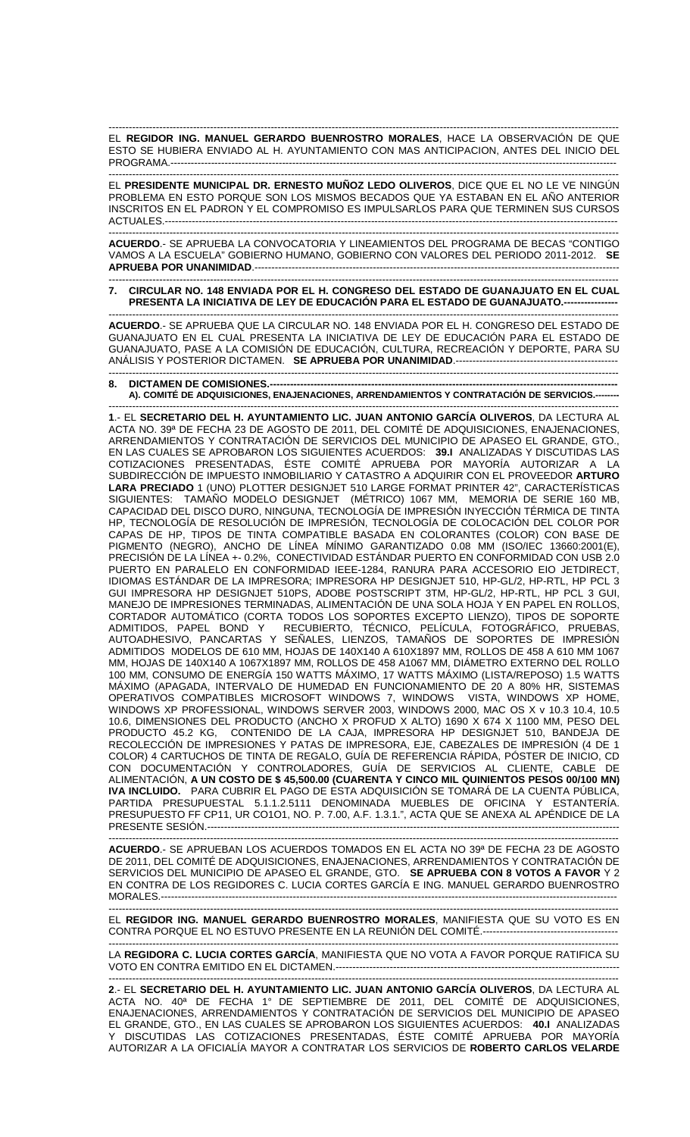------------------------------------------------------------------------------------------------------------------------------------------------------- EL **REGIDOR ING. MANUEL GERARDO BUENROSTRO MORALES**, HACE LA OBSERVACIÓN DE QUE ESTO SE HUBIERA ENVIADO AL H. AYUNTAMIENTO CON MAS ANTICIPACION, ANTES DEL INICIO DEL PROGRAMA.------------------------------------------------------------------------------------------------------------------------------------

------------------------------------------------------------------------------------------------------------------------------------------------------- EL **PRESIDENTE MUNICIPAL DR. ERNESTO MUÑOZ LEDO OLIVEROS**, DICE QUE EL NO LE VE NINGÚN PROBLEMA EN ESTO PORQUE SON LOS MISMOS BECADOS QUE YA ESTABAN EN EL AÑO ANTERIOR INSCRITOS EN EL PADRON Y EL COMPROMISO ES IMPULSARLOS PARA QUE TERMINEN SUS CURSOS ACTUALES.--------------------------------------------------------------------------------------------------------------------------------------

------------------------------------------------------------------------------------------------------------------------------------------------------- **ACUERDO**.- SE APRUEBA LA CONVOCATORIA Y LINEAMIENTOS DEL PROGRAMA DE BECAS "CONTIGO VAMOS A LA ESCUELA" GOBIERNO HUMANO, GOBIERNO CON VALORES DEL PERIODO 2011-2012. **SE APRUEBA POR UNANIMIDAD**.------------------------------------------------------------------------------------------------------------

## ------------------------------------------------------------------------------------------------------------------------------------------------------- **7. CIRCULAR NO. 148 ENVIADA POR EL H. CONGRESO DEL ESTADO DE GUANAJUATO EN EL CUAL PRESENTA LA INICIATIVA DE LEY DE EDUCACIÓN PARA EL ESTADO DE GUANAJUATO.----------------**

------------------------------------------------------------------------------------------------------------------------------------------------------- **ACUERDO**.- SE APRUEBA QUE LA CIRCULAR NO. 148 ENVIADA POR EL H. CONGRESO DEL ESTADO DE GUANAJUATO EN EL CUAL PRESENTA LA INICIATIVA DE LEY DE EDUCACIÓN PARA EL ESTADO DE GUANAJUATO, PASE A LA COMISIÓN DE EDUCACIÓN, CULTURA, RECREACIÓN Y DEPORTE, PARA SU ANÁLISIS Y POSTERIOR DICTAMEN. **SE APRUEBA POR UNANIMIDAD**.------------------------------------------------

## ------------------------------------------------------------------------------------------------------------------------------------------------------- 8. DICTAMEN DE COMISIONES.-A). COMITÉ DE ADQUISICIONES, ENAJENACIONES, ARRENDAMIENTOS Y CONTRATACIÓN DE SERVICIOS.---

------------------------------------------------------------------------------------------------------------------------------------------------------- **1**.- EL **SECRETARIO DEL H. AYUNTAMIENTO LIC. JUAN ANTONIO GARCÍA OLIVEROS**, DA LECTURA AL ACTA NO. 39ª DE FECHA 23 DE AGOSTO DE 2011, DEL COMITÉ DE ADQUISICIONES, ENAJENACIONES, ARRENDAMIENTOS Y CONTRATACIÓN DE SERVICIOS DEL MUNICIPIO DE APASEO EL GRANDE, GTO., EN LAS CUALES SE APROBARON LOS SIGUIENTES ACUERDOS: **39.I** ANALIZADAS Y DISCUTIDAS LAS COTIZACIONES PRESENTADAS, ÉSTE COMITÉ APRUEBA POR MAYORÍA AUTORIZAR A LA SUBDIRECCIÓN DE IMPUESTO INMOBILIARIO Y CATASTRO A ADQUIRIR CON EL PROVEEDOR **ARTURO LARA PRECIADO** 1 (UNO) PLOTTER DESIGNJET 510 LARGE FORMAT PRINTER 42", CARACTERÍSTICAS SIGUIENTES: TAMAÑO MODELO DESIGNJET (MÉTRICO) 1067 MM, MEMORIA DE SERIE 160 MB, CAPACIDAD DEL DISCO DURO, NINGUNA, TECNOLOGÍA DE IMPRESIÓN INYECCIÓN TÉRMICA DE TINTA HP, TECNOLOGÍA DE RESOLUCIÓN DE IMPRESIÓN, TECNOLOGÍA DE COLOCACIÓN DEL COLOR POR CAPAS DE HP, TIPOS DE TINTA COMPATIBLE BASADA EN COLORANTES (COLOR) CON BASE DE PIGMENTO (NEGRO), ANCHO DE LÍNEA MÍNIMO GARANTIZADO 0.08 MM (ISO/IEC 13660:2001(E), PRECISIÓN DE LA LÍNEA +- 0.2%, CONECTIVIDAD ESTÁNDAR PUERTO EN CONFORMIDAD CON USB 2.0 PUERTO EN PARALELO EN CONFORMIDAD IEEE-1284, RANURA PARA ACCESORIO EIO JETDIRECT, IDIOMAS ESTÁNDAR DE LA IMPRESORA; IMPRESORA HP DESIGNJET 510, HP-GL/2, HP-RTL, HP PCL 3 GUI IMPRESORA HP DESIGNJET 510PS, ADOBE POSTSCRIPT 3TM, HP-GL/2, HP-RTL, HP PCL 3 GUI, MANEJO DE IMPRESIONES TERMINADAS, ALIMENTACIÓN DE UNA SOLA HOJA Y EN PAPEL EN ROLLOS, CORTADOR AUTOMÁTICO (CORTA TODOS LOS SOPORTES EXCEPTO LIENZO), TIPOS DE SOPORTE ADMITIDOS, PAPEL BOND Y RECUBIERTO, TÉCNICO, PELÍCULA, FOTOGRÁFICO, PRUEBAS, AUTOADHESIVO, PANCARTAS Y SEÑALES, LIENZOS, TAMAÑOS DE SOPORTES DE IMPRESIÓN ADMITIDOS MODELOS DE 610 MM, HOJAS DE 140X140 A 610X1897 MM, ROLLOS DE 458 A 610 MM 1067 MM, HOJAS DE 140X140 A 1067X1897 MM, ROLLOS DE 458 A1067 MM, DIÁMETRO EXTERNO DEL ROLLO 100 MM, CONSUMO DE ENERGÍA 150 WATTS MÁXIMO, 17 WATTS MÁXIMO (LISTA/REPOSO) 1.5 WATTS MÁXIMO (APAGADA, INTERVALO DE HUMEDAD EN FUNCIONAMIENTO DE 20 A 80% HR, SISTEMAS OPERATIVOS COMPATIBLES MICROSOFT WINDOWS 7, WINDOWS VISTA, WINDOWS XP HOME, WINDOWS XP PROFESSIONAL, WINDOWS SERVER 2003, WINDOWS 2000, MAC OS X v 10.3 10.4, 10.5 10.6, DIMENSIONES DEL PRODUCTO (ANCHO X PROFUD X ALTO) 1690 X 674 X 1100 MM, PESO DEL PRODUCTO 45.2 KG, CONTENIDO DE LA CAJA, IMPRESORA HP DESIGNJET 510, BANDEJA DE RECOLECCIÓN DE IMPRESIONES Y PATAS DE IMPRESORA, EJE, CABEZALES DE IMPRESIÓN (4 DE 1 COLOR) 4 CARTUCHOS DE TINTA DE REGALO, GUÍA DE REFERENCIA RÁPIDA, PÓSTER DE INICIO, CD CON DOCUMENTACIÓN Y CONTROLADORES, GUÍA DE SERVICIOS AL CLIENTE, CABLE DE ALIMENTACIÓN, **A UN COSTO DE \$ 45,500.00 (CUARENTA Y CINCO MIL QUINIENTOS PESOS 00/100 MN) IVA INCLUIDO.** PARA CUBRIR EL PAGO DE ESTA ADQUISICIÓN SE TOMARÁ DE LA CUENTA PÚBLICA, PARTIDA PRESUPUESTAL 5.1.1.2.5111 DENOMINADA MUEBLES DE OFICINA Y ESTANTERÍA. PRESUPUESTO FF CP11, UR CO1O1, NO. P. 7.00, A.F. 1.3.1.", ACTA QUE SE ANEXA AL APÉNDICE DE LA PRESENTE SESIÓN.--------------------------------------------------------------------------------------------------------------------------

------------------------------------------------------------------------------------------------------------------------------------------------------- **ACUERDO**.- SE APRUEBAN LOS ACUERDOS TOMADOS EN EL ACTA NO 39ª DE FECHA 23 DE AGOSTO DE 2011, DEL COMITÉ DE ADQUISICIONES, ENAJENACIONES, ARRENDAMIENTOS Y CONTRATACIÓN DE SERVICIOS DEL MUNICIPIO DE APASEO EL GRANDE, GTO. **SE APRUEBA CON 8 VOTOS A FAVOR** Y 2 EN CONTRA DE LOS REGIDORES C. LUCIA CORTES GARCÍA E ING. MANUEL GERARDO BUENROSTRO MORALES.---------------------------------------------------------------------------------------------------------------------------------------

------------------------------------------------------------------------------------------------------------------------------------------------------- EL **REGIDOR ING. MANUEL GERARDO BUENROSTRO MORALES**, MANIFIESTA QUE SU VOTO ES EN CONTRA PORQUE EL NO ESTUVO PRESENTE EN LA REUNIÓN DEL COMITÉ.----------------------------------------

------------------------------------------------------------------------------------------------------------------------------------------------------- LA **REGIDORA C. LUCIA CORTES GARCÍA**, MANIFIESTA QUE NO VOTA A FAVOR PORQUE RATIFICA SU VOTO EN CONTRA EMITIDO EN EL DICTAMEN.------------------------------------------------------------------------------------

------------------------------------------------------------------------------------------------------------------------------------------------------- **2**.- EL **SECRETARIO DEL H. AYUNTAMIENTO LIC. JUAN ANTONIO GARCÍA OLIVEROS**, DA LECTURA AL ACTA NO. 40ª DE FECHA 1° DE SEPTIEMBRE DE 2011, DEL COMITÉ DE ADQUISICIONES, ENAJENACIONES, ARRENDAMIENTOS Y CONTRATACIÓN DE SERVICIOS DEL MUNICIPIO DE APASEO EL GRANDE, GTO., EN LAS CUALES SE APROBARON LOS SIGUIENTES ACUERDOS: **40.I** ANALIZADAS Y DISCUTIDAS LAS COTIZACIONES PRESENTADAS, ÉSTE COMITÉ APRUEBA POR MAYORÍA AUTORIZAR A LA OFICIALÍA MAYOR A CONTRATAR LOS SERVICIOS DE **ROBERTO CARLOS VELARDE**